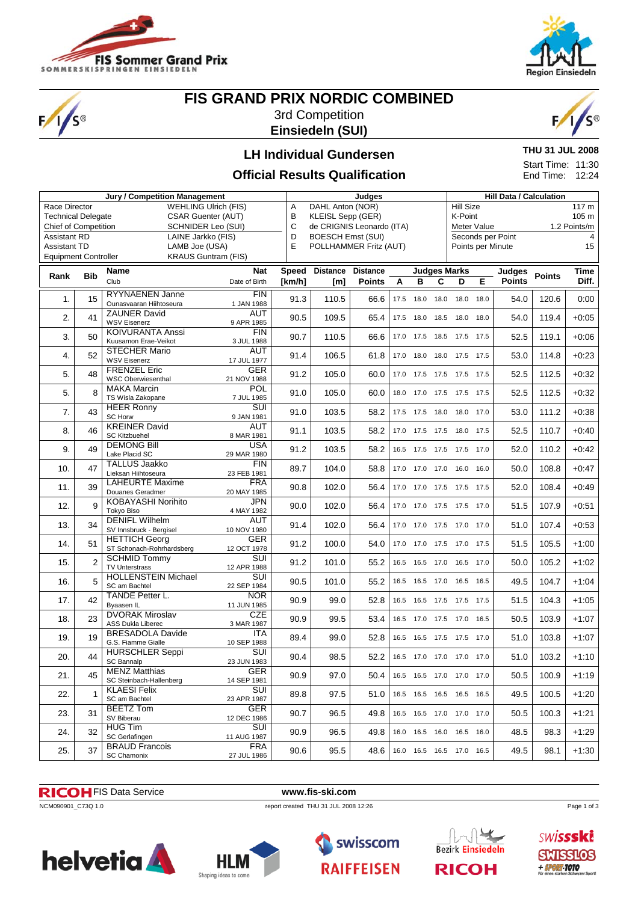

 $\sqrt{s}$ 



# **FIS GRAND PRIX NORDIC COMBINED**

3rd Competition **Einsiedeln (SUI)**



**THU 31 JUL 2008** Start Time: 11:30 End Time: 12:24

#### **LH Individual Gundersen**

#### **Official Results Qualification**

**Jury / Competition Management Judges Judges Hill Data / Calculation** Race Director WEHLING Ulrich (FIS) Technical Delegate CSAR Guenter (AUT) Chief of Competition SCHNIDER Leo (SUI) Assistant RD **LAINE Jarkko (FIS)**<br>Assistant TD **LAMB Joe (USA)** LAMB Joe (USA)<br>KRAUS Guntram (FIS) **Equipment Controller** A DAHL Anton (NOR)<br>B KLEISL Sepp (GER KLEISL Sepp (GER) C de CRIGNIS Leonardo (ITA) D BOESCH Ernst (SUI) E POLLHAMMER Fritz (AUT) Hill Size 117 m K-Point 105 m Meter Value 1.2 Points/m Seconds per Point 4 Points per Minute 15 **Rank Bib Name** Club **Nat** Date of Birth **Speed [km/h] Distance [m] Distance Points Judges Marks ABCDE Judges Points Points Time Diff.** 1 15 RYYNAENEN Janne Ounasvaaran Hiihtoseura FIN<br>1 JAN 1988  $\begin{array}{|c|c|c|c|c|c|c|c|c|} \hline \end{array}$  110.5 66.6 17.5 18.0 18.0 18.0 18.0 54.0 120.6 0:00 2. 41 ZAUNER David WSV Eisenerz AUT 9 APR 1985 90.5 109.5 65.4 17.5 18.0 18.5 18.0 18.0 54.0 119.4 +0:05 3. 50 KOIVURANTA Anssi Kuusamon Erae-Veikot FIN<br>3.III 1988  $\begin{array}{|c|c|c|c|c|c|c|c|c|} \hline \text{110.7} & 90.7 & 110.5 & 66.6 & 17.0 & 17.5 & 18.5 & 17.5 & 17.5 & 52.5 & 119.1 & +0.06 \ \hline \end{array}$ 4. 52 STECHER Mario WSV Eisene **AUT**<br>17 JUL 1977  $17$  JUL 1977 91.4 106.5 61.8 17.0 18.0 18.0 17.5 17.5 53.0 114.8 +0:23 5. 48 FRENZEL Eric WSC Oberwiesenthal GER<br>21 NOV 1988 21 NOV 1988 91.2 105.0 60.0 17.0 17.5 17.5 17.5 17.5 17.5 17.5 112.5 +0:32  $\overline{5}$ . 8 MAKA Marcin TS Wisla Zakopane **POL**  $\begin{array}{|c|c|c|c|c|c|c|c|c|} \hline \text{7 JUL 1985} & \text{91.0} & \text{105.0} & \text{60.0} & \text{18.0} & \text{17.0} & \text{17.5} & \text{17.5} & \text{17.5} & \text{52.5} & \text{112.5} & \text{+0.32} \hline \end{array}$  $7.$  43 HEER Ronny SC Horw SUI<br>9 JAN 1981 9 JAN 1981 | 91.0 | 103.5 | 58.2 | 17.5 17.5 18.0 18.0 17.0 | 53.0 | 111.2 | +0:38 8. 46 KREINER David SC Kitzbuehel AUT<br>8 MAR 1981 8 MAR 1981 **91.1** 103.5 58.2 17.0 17.5 17.5 18.0 17.5 52.5 110.7 +0:40 9. 49 DEMONG Bill Lake Placid SC USA<br>29 MAR 1980 29 MAR 1980  $\begin{vmatrix} 91.2 & 103.5 & 58.2 & 16.5 & 17.5 & 17.5 & 17.5 & 17.0 \end{vmatrix}$  52.0 110.2 + 0:42 10. 47 TALLUS Jaakko Lieksan Hiihtoseura FIN<br>23 EEB 1981  $\begin{array}{|c|c|c|c|c|c|c|c|c|c|c|c|} \hline \text{111} & \text{89.7} & \text{104.0} & \text{58.8} & \text{17.0} & \text{17.0} & \text{17.0} & \text{16.0} & \text{16.0} & \text{50.0} & \text{108.8} & \text{+0.47} \ \hline \end{array}$ 11. 39 LAHEURTE Maxime Douanes Geradmer **FRA**  $\begin{array}{|c|c|c|c|c|c|c|c|c|} \hline \text{CNAY 1985} & 90.8 & 102.0 & 56.4 & 17.0 & 17.0 & 17.5 & 17.5 & 17.5 & 52.0 & 108.4 & +0.49 \ \hline \end{array}$ 12. 9 KOBAYASHI Norihito Tokyo Biso JPN<br>4 MAY 1982  $\frac{364}{4 \text{ MAY } 1982}$  90.0 102.0 56.4 17.0 17.0 17.5 17.5 17.0 51.5 107.9 +0:51  $\overline{13}$   $\overline{34}$  DENIFL Wilhelm SV Innsbruck - Bergisel AUT  $10 NQV 1980$  91.4 102.0 56.4 17.0 17.0 17.5 17.0 17.0 51.0 107.4 +0:53 14. 51 HETTICH Georg ST Schonach-Rohrhardsberg GER<br>12 OCT 1978  $\begin{array}{|c|c|c|c|c|c|c|c|c|c|c|c|} \hline 12 & 91.2 & 100.0 & 54.0 & 17.0 & 17.5 & 17.0 & 17.5 & 51.5 & 105.5 & +1.00 \ \hline \end{array}$ 15. 2 SCHMID Tommy TV | Interstrass SUI<br>12 APR 1988  $\begin{array}{|c|c|c|c|c|c|c|c|c|} \hline \text{13.2} & \text{101.0} & \text{55.2} & \text{16.5} & \text{16.5} & \text{17.0} & \text{16.5} & \text{17.0} & \text{50.0} & \text{105.2} & \text{+1:02} \ \hline \end{array}$ 16. 5 HOLLENSTEIN Michael SC am Bachtel SUI<br>22 SEP 1984 22 SEP 1984 90.5 101.0 55.2 16.5 16.5 17.0 16.5 16.5 49.5 104.7 +1:04 17. 42 TANDE Petter L. Byaasen IL NOR<br>11 JUN 1985 11 JUN 1985 90.9 99.0 52.8 16.5 16.5 17.5 17.5 17.5 17.5 51.5 104.3 +1:05 18. 23 DVORAK Miroslav ASS Dukla Liberec **CZE** 3 MAR 1987 90.9 99.5 53.4 16.5 17.0 17.5 17.0 16.5 50.5 103.9 +1:07 19. 19 BRESADOLA Davide G.S. Fiamme Gialle **ITA**<br>10 SEP 1988  $\begin{array}{|c|c|c|c|c|c|c|c|c|} \hline 117 & 89.4 & 99.0 & 52.8 & 16.5 & 16.5 & 17.5 & 17.5 & 17.0 & 51.0 & 103.8 & +1.07 \ \hline \end{array}$ 20. 44 HURSCHLER Seppi SC Bannalp SUI<br>23 JUN 1983 23 JUN 1983 90.4 98.5 52.2 16.5 17.0 17.0 17.0 17.0 51.0 103.2 +1:10 21. 45 MENZ Matthias SC Steinbach-Hallenberg GER<br>14 SEP 1981  $\begin{array}{|c|c|c|c|c|c|c|c|c|} \hline \text{GER} & 90.9 & 97.0 & 50.4 & 16.5 & 16.5 & 17.0 & 17.0 & 17.0 & 50.5 & 100.9 & +1:19 \ \hline \end{array}$ 22. 1 KLAESI Felix SC am Bachtel **SUI**  $\begin{array}{|c|c|c|c|c|c|c|c|c|} \hline \text{23} & \text{23} & \text{24} & \text{25} & \text{25} & \text{26} & \text{27} & \text{28} & \text{29} & \text{29} & \text{29} & \text{29} & \text{29} & \text{29} & \text{29} & \text{29} & \text{29} & \text{29} & \text{29} & \text{29} & \text{29} & \text{29} & \text{29} & \text{29} & \text{29} & \text{29} & \text{29} & \text{$  $\overline{23}$   $\overline{31}$  BEETZ Tom SV Biberau GER<br>12 DEC 1986 12 DEC 1986 90.7 96.5 49.8 16.5 16.5 17.0 17.0 17.0 50.5 100.3 +1:21  $24$   $32$  HUG Tim SC Gerlafingen SUI<br>11 AUG 1987 11 AUG 1987 90.9 96.5 49.8 16.0 16.5 16.0 16.5 16.0 48.5 98.3 +1:29 25. 37 BRAUD Francois SC Chamonix FRA<br>27 JUL 1986 27 JUL 1986 90.6 95.5 48.6 16.0 16.5 16.5 17.0 16.5 49.5 98.1 +1:30

#### FIS Data Service **www.fis-ski.com**

NCM090901\_C73Q 1.0 report created THU 31 JUL 2008 12:26









Page 1 of 3

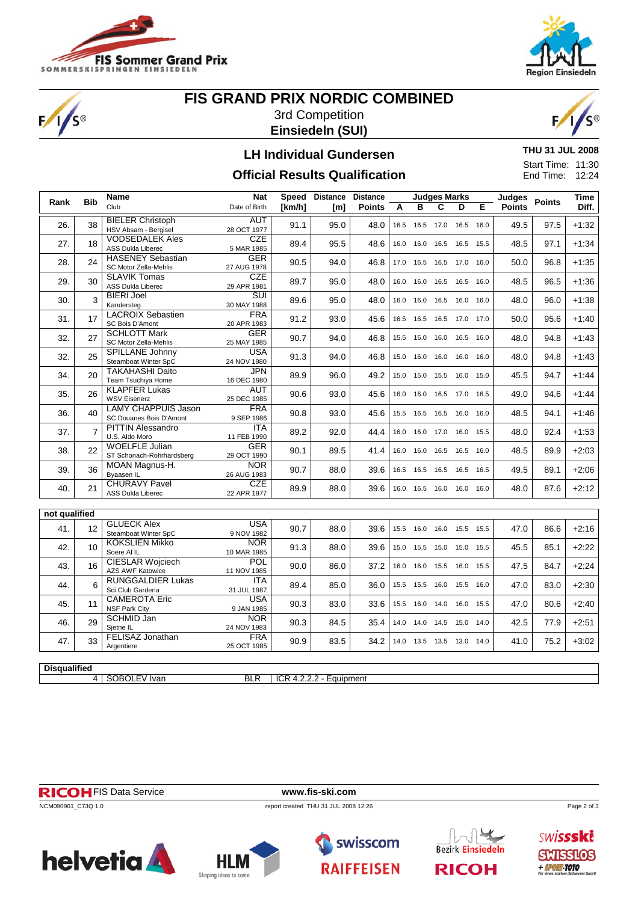

S®



# **FIS GRAND PRIX NORDIC COMBINED** 3rd Competition **Einsiedeln (SUI)**



## **LH Individual Gundersen**

**THU 31 JUL 2008** Start Time: 11:30 End Time: 12:24

### **Official Results Qualification**

| B<br>Diff.<br>Club<br>[km/h]<br><b>Points</b><br>C<br>D<br>Е<br><b>Points</b><br>Date of Birth<br>A<br>[m]<br><b>BIELER Christoph</b><br><b>AUT</b><br>38<br>91.1<br>95.0<br>48.0<br>16.5 16.0<br>49.5<br>97.5<br>$+1:32$<br>26.<br>16.5<br>16.5 17.0<br>HSV Absam - Bergisel<br>28 OCT 1977<br><b>VODSEDALEK Ales</b><br><b>CZE</b><br>27.<br>89.4<br>95.5<br>48.5<br>97.1<br>$+1:34$<br>18<br>48.6<br>16.0<br>16.0<br>16.5<br>16.5<br>15.5<br>ASS Dukla Liberec<br>5 MAR 1985<br><b>HASENEY Sebastian</b><br><b>GER</b><br>24<br>90.5<br>94.0<br>96.8<br>$+1:35$<br>28.<br>46.8<br>17.0<br>16.5 16.5 17.0<br>50.0<br>16.0<br>SC Motor Zella-Mehlis<br>27 AUG 1978<br><b>CZE</b><br><b>SLAVIK Tomas</b><br>89.7<br>96.5<br>$+1:36$<br>29.<br>30<br>95.0<br>48.0<br>16.0<br>16.5 16.5<br>48.5<br>16.0<br>16.0<br>ASS Dukla Liberec<br>29 APR 1981<br>$\overline{\text{SUI}}$<br><b>BIERI Joel</b><br>3<br>30.<br>89.6<br>95.0<br>96.0<br>$+1:38$<br>48.0<br>48.0<br>16.0<br>16.0 16.5 16.0<br>16.0<br>Kandersteg<br>30 MAY 1988<br><b>LACROIX Sebastien</b><br><b>FRA</b><br>17<br>91.2<br>95.6<br>$+1:40$<br>31.<br>93.0<br>45.6<br>50.0<br>16.5 16.5 17.0<br>16.5<br>17.0<br>SC Bois D'Amont<br>20 APR 1983<br><b>GER</b><br><b>SCHLOTT Mark</b><br>32.<br>27<br>90.7<br>94.0<br>94.8<br>46.8<br>15.5<br>16.0 16.0 16.5 16.0<br>48.0<br>$+1:43$<br>SC Motor Zella-Mehlis<br>25 MAY 1985<br><b>USA</b><br><b>SPILLANE Johnny</b><br>91.3<br>94.8<br>$+1:43$<br>32.<br>25<br>94.0<br>46.8<br>16.0<br>16.0<br>16.0<br>48.0<br>15.0<br>16.0<br>Steamboat Winter SpC<br>24 NOV 1980<br><b>JPN</b><br><b>TAKAHASHI Daito</b><br>34.<br>20<br>89.9<br>96.0<br>49.2<br>15.0 15.5 16.0<br>45.5<br>94.7<br>$+1:44$<br>15.0<br>15.0<br>Team Tsuchiya Home<br>16 DEC 1980<br><b>KLAPFER Lukas</b><br><b>AUT</b><br>35.<br>26<br>90.6<br>93.0<br>94.6<br>$+1:44$<br>45.6<br>16.0<br>16.0<br>16.5 17.0<br>49.0<br>16.5<br><b>WSV Eisenerz</b><br>25 DEC 1985<br><b>LAMY CHAPPUIS Jason</b><br><b>FRA</b><br>36.<br>40<br>90.8<br>93.0<br>94.1<br>$+1:46$<br>45.6<br>15.5<br>16.5 16.5 16.0<br>48.5<br>16.0<br>SC Douanes Bois D'Amont<br>9 SEP 1986<br><b>PITTIN Alessandro</b><br><b>ITA</b><br>$\overline{7}$<br>89.2<br>92.0<br>92.4<br>$+1:53$<br>37.<br>44.4<br>16.0<br>17.0 16.0<br>48.0<br>16.0<br>15.5<br>U.S. Aldo Moro<br>11 FEB 1990<br><b>WOELFLE Julian</b><br><b>GER</b><br>22<br>90.1<br>89.5<br>89.9<br>$+2:03$<br>38.<br>41.4<br>48.5<br>16.0<br>16.0<br>16.5 16.5<br>16.0<br>ST Schonach-Rohrhardsberg<br>29 OCT 1990<br><b>NOR</b><br>MOAN Magnus-H.<br>90.7<br>89.1<br>$+2:06$<br>39.<br>36<br>88.0<br>39.6<br>49.5<br>16.5<br>16.5 16.5 16.5<br>16.5<br>Byaasen IL<br>26 AUG 1983<br><b>CHURAVY Pavel</b><br><b>CZE</b><br>89.9<br>$+2:12$<br>40.<br>21<br>88.0<br>39.6<br>16.0  16.5  16.0  16.0  16.0<br>48.0<br>87.6<br>22 APR 1977<br><b>ASS Dukla Liberec</b><br>not qualified<br><b>GLUECK Alex</b><br><b>USA</b><br>$+2:16$<br>41.<br>12<br>90.7<br>88.0<br>39.6<br>15.5  16.0  16.0  15.5  15.5<br>47.0<br>86.6<br>Steamboat Winter SpC<br>9 NOV 1982<br><b>KOKSLIEN Mikko</b><br><b>NOR</b><br>$+2:22$<br>42.<br>10<br>91.3<br>88.0<br>39.6<br>15.0  15.5  15.0  15.0  15.5<br>45.5<br>85.1<br>Soere Al IL<br>10 MAR 1985<br><b>CIESLAR Wojciech</b><br>POL<br>$+2:24$<br>43.<br>90.0<br>86.0<br>16.0 15.5 16.0<br>47.5<br>84.7<br>16<br>37.2<br>16.0<br>15.5<br><b>AZS AWF Katowice</b><br>11 NOV 1985<br><b>RUNGGALDIER Lukas</b><br><b>ITA</b><br>$+2:30$<br>44.<br>6<br>89.4<br>85.0<br>36.0<br>47.0<br>83.0<br>15.5 15.5 16.0 15.5 16.0<br>Sci Club Gardena<br>31 JUL 1987<br><b>CAMEROTA Eric</b><br><b>USA</b><br>90.3<br>80.6<br>$+2:40$<br>45.<br>11<br>83.0<br>33.6<br>16.0 14.0 16.0<br>47.0<br>15.5<br>15.5<br><b>NSF Park City</b><br>9 JAN 1985<br>SCHMID Jan<br><b>NOR</b><br>$+2:51$<br>29<br>46.<br>90.3<br>84.5<br>35.4<br>42.5<br>77.9<br>14.0 14.0 14.5 15.0 14.0<br>Sietne IL<br>24 NOV 1983<br>FELISAZ Jonathan<br><b>FRA</b><br>75.2<br>$+3:02$<br>47.<br>33<br>90.9<br>83.5<br>34.2<br>14.0 13.5 13.5 13.0<br>41.0<br>14.0<br>25 OCT 1985<br>Argentiere |      |            | Name | <b>Nat</b> | <b>Speed</b> | <b>Distance</b> | <b>Distance</b> |  | <b>Judges Marks</b> |  |  | Judges |               | <b>Time</b> |
|---------------------------------------------------------------------------------------------------------------------------------------------------------------------------------------------------------------------------------------------------------------------------------------------------------------------------------------------------------------------------------------------------------------------------------------------------------------------------------------------------------------------------------------------------------------------------------------------------------------------------------------------------------------------------------------------------------------------------------------------------------------------------------------------------------------------------------------------------------------------------------------------------------------------------------------------------------------------------------------------------------------------------------------------------------------------------------------------------------------------------------------------------------------------------------------------------------------------------------------------------------------------------------------------------------------------------------------------------------------------------------------------------------------------------------------------------------------------------------------------------------------------------------------------------------------------------------------------------------------------------------------------------------------------------------------------------------------------------------------------------------------------------------------------------------------------------------------------------------------------------------------------------------------------------------------------------------------------------------------------------------------------------------------------------------------------------------------------------------------------------------------------------------------------------------------------------------------------------------------------------------------------------------------------------------------------------------------------------------------------------------------------------------------------------------------------------------------------------------------------------------------------------------------------------------------------------------------------------------------------------------------------------------------------------------------------------------------------------------------------------------------------------------------------------------------------------------------------------------------------------------------------------------------------------------------------------------------------------------------------------------------------------------------------------------------------------------------------------------------------------------------------------------------------------------------------------------------------------------------------------------------------------------------------------------------------------------------------------------------------------------------------------------------------------------------------------------------------------------------------------------------------------------------------------------------------------------------------------------------------------------------------------------------------------------------------------------------------------------------------------------------------------------------------------------------------------------------------------------------------------------------------------------------------------------------------------------------------------------------------------------------------------------------------------------------------------------------------------|------|------------|------|------------|--------------|-----------------|-----------------|--|---------------------|--|--|--------|---------------|-------------|
|                                                                                                                                                                                                                                                                                                                                                                                                                                                                                                                                                                                                                                                                                                                                                                                                                                                                                                                                                                                                                                                                                                                                                                                                                                                                                                                                                                                                                                                                                                                                                                                                                                                                                                                                                                                                                                                                                                                                                                                                                                                                                                                                                                                                                                                                                                                                                                                                                                                                                                                                                                                                                                                                                                                                                                                                                                                                                                                                                                                                                                                                                                                                                                                                                                                                                                                                                                                                                                                                                                                                                                                                                                                                                                                                                                                                                                                                                                                                                                                                                                                                                                   | Rank | <b>Bib</b> |      |            |              |                 |                 |  |                     |  |  |        | <b>Points</b> |             |
|                                                                                                                                                                                                                                                                                                                                                                                                                                                                                                                                                                                                                                                                                                                                                                                                                                                                                                                                                                                                                                                                                                                                                                                                                                                                                                                                                                                                                                                                                                                                                                                                                                                                                                                                                                                                                                                                                                                                                                                                                                                                                                                                                                                                                                                                                                                                                                                                                                                                                                                                                                                                                                                                                                                                                                                                                                                                                                                                                                                                                                                                                                                                                                                                                                                                                                                                                                                                                                                                                                                                                                                                                                                                                                                                                                                                                                                                                                                                                                                                                                                                                                   |      |            |      |            |              |                 |                 |  |                     |  |  |        |               |             |
|                                                                                                                                                                                                                                                                                                                                                                                                                                                                                                                                                                                                                                                                                                                                                                                                                                                                                                                                                                                                                                                                                                                                                                                                                                                                                                                                                                                                                                                                                                                                                                                                                                                                                                                                                                                                                                                                                                                                                                                                                                                                                                                                                                                                                                                                                                                                                                                                                                                                                                                                                                                                                                                                                                                                                                                                                                                                                                                                                                                                                                                                                                                                                                                                                                                                                                                                                                                                                                                                                                                                                                                                                                                                                                                                                                                                                                                                                                                                                                                                                                                                                                   |      |            |      |            |              |                 |                 |  |                     |  |  |        |               |             |
|                                                                                                                                                                                                                                                                                                                                                                                                                                                                                                                                                                                                                                                                                                                                                                                                                                                                                                                                                                                                                                                                                                                                                                                                                                                                                                                                                                                                                                                                                                                                                                                                                                                                                                                                                                                                                                                                                                                                                                                                                                                                                                                                                                                                                                                                                                                                                                                                                                                                                                                                                                                                                                                                                                                                                                                                                                                                                                                                                                                                                                                                                                                                                                                                                                                                                                                                                                                                                                                                                                                                                                                                                                                                                                                                                                                                                                                                                                                                                                                                                                                                                                   |      |            |      |            |              |                 |                 |  |                     |  |  |        |               |             |
|                                                                                                                                                                                                                                                                                                                                                                                                                                                                                                                                                                                                                                                                                                                                                                                                                                                                                                                                                                                                                                                                                                                                                                                                                                                                                                                                                                                                                                                                                                                                                                                                                                                                                                                                                                                                                                                                                                                                                                                                                                                                                                                                                                                                                                                                                                                                                                                                                                                                                                                                                                                                                                                                                                                                                                                                                                                                                                                                                                                                                                                                                                                                                                                                                                                                                                                                                                                                                                                                                                                                                                                                                                                                                                                                                                                                                                                                                                                                                                                                                                                                                                   |      |            |      |            |              |                 |                 |  |                     |  |  |        |               |             |
|                                                                                                                                                                                                                                                                                                                                                                                                                                                                                                                                                                                                                                                                                                                                                                                                                                                                                                                                                                                                                                                                                                                                                                                                                                                                                                                                                                                                                                                                                                                                                                                                                                                                                                                                                                                                                                                                                                                                                                                                                                                                                                                                                                                                                                                                                                                                                                                                                                                                                                                                                                                                                                                                                                                                                                                                                                                                                                                                                                                                                                                                                                                                                                                                                                                                                                                                                                                                                                                                                                                                                                                                                                                                                                                                                                                                                                                                                                                                                                                                                                                                                                   |      |            |      |            |              |                 |                 |  |                     |  |  |        |               |             |
|                                                                                                                                                                                                                                                                                                                                                                                                                                                                                                                                                                                                                                                                                                                                                                                                                                                                                                                                                                                                                                                                                                                                                                                                                                                                                                                                                                                                                                                                                                                                                                                                                                                                                                                                                                                                                                                                                                                                                                                                                                                                                                                                                                                                                                                                                                                                                                                                                                                                                                                                                                                                                                                                                                                                                                                                                                                                                                                                                                                                                                                                                                                                                                                                                                                                                                                                                                                                                                                                                                                                                                                                                                                                                                                                                                                                                                                                                                                                                                                                                                                                                                   |      |            |      |            |              |                 |                 |  |                     |  |  |        |               |             |
|                                                                                                                                                                                                                                                                                                                                                                                                                                                                                                                                                                                                                                                                                                                                                                                                                                                                                                                                                                                                                                                                                                                                                                                                                                                                                                                                                                                                                                                                                                                                                                                                                                                                                                                                                                                                                                                                                                                                                                                                                                                                                                                                                                                                                                                                                                                                                                                                                                                                                                                                                                                                                                                                                                                                                                                                                                                                                                                                                                                                                                                                                                                                                                                                                                                                                                                                                                                                                                                                                                                                                                                                                                                                                                                                                                                                                                                                                                                                                                                                                                                                                                   |      |            |      |            |              |                 |                 |  |                     |  |  |        |               |             |
|                                                                                                                                                                                                                                                                                                                                                                                                                                                                                                                                                                                                                                                                                                                                                                                                                                                                                                                                                                                                                                                                                                                                                                                                                                                                                                                                                                                                                                                                                                                                                                                                                                                                                                                                                                                                                                                                                                                                                                                                                                                                                                                                                                                                                                                                                                                                                                                                                                                                                                                                                                                                                                                                                                                                                                                                                                                                                                                                                                                                                                                                                                                                                                                                                                                                                                                                                                                                                                                                                                                                                                                                                                                                                                                                                                                                                                                                                                                                                                                                                                                                                                   |      |            |      |            |              |                 |                 |  |                     |  |  |        |               |             |
|                                                                                                                                                                                                                                                                                                                                                                                                                                                                                                                                                                                                                                                                                                                                                                                                                                                                                                                                                                                                                                                                                                                                                                                                                                                                                                                                                                                                                                                                                                                                                                                                                                                                                                                                                                                                                                                                                                                                                                                                                                                                                                                                                                                                                                                                                                                                                                                                                                                                                                                                                                                                                                                                                                                                                                                                                                                                                                                                                                                                                                                                                                                                                                                                                                                                                                                                                                                                                                                                                                                                                                                                                                                                                                                                                                                                                                                                                                                                                                                                                                                                                                   |      |            |      |            |              |                 |                 |  |                     |  |  |        |               |             |
|                                                                                                                                                                                                                                                                                                                                                                                                                                                                                                                                                                                                                                                                                                                                                                                                                                                                                                                                                                                                                                                                                                                                                                                                                                                                                                                                                                                                                                                                                                                                                                                                                                                                                                                                                                                                                                                                                                                                                                                                                                                                                                                                                                                                                                                                                                                                                                                                                                                                                                                                                                                                                                                                                                                                                                                                                                                                                                                                                                                                                                                                                                                                                                                                                                                                                                                                                                                                                                                                                                                                                                                                                                                                                                                                                                                                                                                                                                                                                                                                                                                                                                   |      |            |      |            |              |                 |                 |  |                     |  |  |        |               |             |
|                                                                                                                                                                                                                                                                                                                                                                                                                                                                                                                                                                                                                                                                                                                                                                                                                                                                                                                                                                                                                                                                                                                                                                                                                                                                                                                                                                                                                                                                                                                                                                                                                                                                                                                                                                                                                                                                                                                                                                                                                                                                                                                                                                                                                                                                                                                                                                                                                                                                                                                                                                                                                                                                                                                                                                                                                                                                                                                                                                                                                                                                                                                                                                                                                                                                                                                                                                                                                                                                                                                                                                                                                                                                                                                                                                                                                                                                                                                                                                                                                                                                                                   |      |            |      |            |              |                 |                 |  |                     |  |  |        |               |             |
|                                                                                                                                                                                                                                                                                                                                                                                                                                                                                                                                                                                                                                                                                                                                                                                                                                                                                                                                                                                                                                                                                                                                                                                                                                                                                                                                                                                                                                                                                                                                                                                                                                                                                                                                                                                                                                                                                                                                                                                                                                                                                                                                                                                                                                                                                                                                                                                                                                                                                                                                                                                                                                                                                                                                                                                                                                                                                                                                                                                                                                                                                                                                                                                                                                                                                                                                                                                                                                                                                                                                                                                                                                                                                                                                                                                                                                                                                                                                                                                                                                                                                                   |      |            |      |            |              |                 |                 |  |                     |  |  |        |               |             |
|                                                                                                                                                                                                                                                                                                                                                                                                                                                                                                                                                                                                                                                                                                                                                                                                                                                                                                                                                                                                                                                                                                                                                                                                                                                                                                                                                                                                                                                                                                                                                                                                                                                                                                                                                                                                                                                                                                                                                                                                                                                                                                                                                                                                                                                                                                                                                                                                                                                                                                                                                                                                                                                                                                                                                                                                                                                                                                                                                                                                                                                                                                                                                                                                                                                                                                                                                                                                                                                                                                                                                                                                                                                                                                                                                                                                                                                                                                                                                                                                                                                                                                   |      |            |      |            |              |                 |                 |  |                     |  |  |        |               |             |
|                                                                                                                                                                                                                                                                                                                                                                                                                                                                                                                                                                                                                                                                                                                                                                                                                                                                                                                                                                                                                                                                                                                                                                                                                                                                                                                                                                                                                                                                                                                                                                                                                                                                                                                                                                                                                                                                                                                                                                                                                                                                                                                                                                                                                                                                                                                                                                                                                                                                                                                                                                                                                                                                                                                                                                                                                                                                                                                                                                                                                                                                                                                                                                                                                                                                                                                                                                                                                                                                                                                                                                                                                                                                                                                                                                                                                                                                                                                                                                                                                                                                                                   |      |            |      |            |              |                 |                 |  |                     |  |  |        |               |             |
|                                                                                                                                                                                                                                                                                                                                                                                                                                                                                                                                                                                                                                                                                                                                                                                                                                                                                                                                                                                                                                                                                                                                                                                                                                                                                                                                                                                                                                                                                                                                                                                                                                                                                                                                                                                                                                                                                                                                                                                                                                                                                                                                                                                                                                                                                                                                                                                                                                                                                                                                                                                                                                                                                                                                                                                                                                                                                                                                                                                                                                                                                                                                                                                                                                                                                                                                                                                                                                                                                                                                                                                                                                                                                                                                                                                                                                                                                                                                                                                                                                                                                                   |      |            |      |            |              |                 |                 |  |                     |  |  |        |               |             |
|                                                                                                                                                                                                                                                                                                                                                                                                                                                                                                                                                                                                                                                                                                                                                                                                                                                                                                                                                                                                                                                                                                                                                                                                                                                                                                                                                                                                                                                                                                                                                                                                                                                                                                                                                                                                                                                                                                                                                                                                                                                                                                                                                                                                                                                                                                                                                                                                                                                                                                                                                                                                                                                                                                                                                                                                                                                                                                                                                                                                                                                                                                                                                                                                                                                                                                                                                                                                                                                                                                                                                                                                                                                                                                                                                                                                                                                                                                                                                                                                                                                                                                   |      |            |      |            |              |                 |                 |  |                     |  |  |        |               |             |
|                                                                                                                                                                                                                                                                                                                                                                                                                                                                                                                                                                                                                                                                                                                                                                                                                                                                                                                                                                                                                                                                                                                                                                                                                                                                                                                                                                                                                                                                                                                                                                                                                                                                                                                                                                                                                                                                                                                                                                                                                                                                                                                                                                                                                                                                                                                                                                                                                                                                                                                                                                                                                                                                                                                                                                                                                                                                                                                                                                                                                                                                                                                                                                                                                                                                                                                                                                                                                                                                                                                                                                                                                                                                                                                                                                                                                                                                                                                                                                                                                                                                                                   |      |            |      |            |              |                 |                 |  |                     |  |  |        |               |             |
|                                                                                                                                                                                                                                                                                                                                                                                                                                                                                                                                                                                                                                                                                                                                                                                                                                                                                                                                                                                                                                                                                                                                                                                                                                                                                                                                                                                                                                                                                                                                                                                                                                                                                                                                                                                                                                                                                                                                                                                                                                                                                                                                                                                                                                                                                                                                                                                                                                                                                                                                                                                                                                                                                                                                                                                                                                                                                                                                                                                                                                                                                                                                                                                                                                                                                                                                                                                                                                                                                                                                                                                                                                                                                                                                                                                                                                                                                                                                                                                                                                                                                                   |      |            |      |            |              |                 |                 |  |                     |  |  |        |               |             |
|                                                                                                                                                                                                                                                                                                                                                                                                                                                                                                                                                                                                                                                                                                                                                                                                                                                                                                                                                                                                                                                                                                                                                                                                                                                                                                                                                                                                                                                                                                                                                                                                                                                                                                                                                                                                                                                                                                                                                                                                                                                                                                                                                                                                                                                                                                                                                                                                                                                                                                                                                                                                                                                                                                                                                                                                                                                                                                                                                                                                                                                                                                                                                                                                                                                                                                                                                                                                                                                                                                                                                                                                                                                                                                                                                                                                                                                                                                                                                                                                                                                                                                   |      |            |      |            |              |                 |                 |  |                     |  |  |        |               |             |
|                                                                                                                                                                                                                                                                                                                                                                                                                                                                                                                                                                                                                                                                                                                                                                                                                                                                                                                                                                                                                                                                                                                                                                                                                                                                                                                                                                                                                                                                                                                                                                                                                                                                                                                                                                                                                                                                                                                                                                                                                                                                                                                                                                                                                                                                                                                                                                                                                                                                                                                                                                                                                                                                                                                                                                                                                                                                                                                                                                                                                                                                                                                                                                                                                                                                                                                                                                                                                                                                                                                                                                                                                                                                                                                                                                                                                                                                                                                                                                                                                                                                                                   |      |            |      |            |              |                 |                 |  |                     |  |  |        |               |             |
|                                                                                                                                                                                                                                                                                                                                                                                                                                                                                                                                                                                                                                                                                                                                                                                                                                                                                                                                                                                                                                                                                                                                                                                                                                                                                                                                                                                                                                                                                                                                                                                                                                                                                                                                                                                                                                                                                                                                                                                                                                                                                                                                                                                                                                                                                                                                                                                                                                                                                                                                                                                                                                                                                                                                                                                                                                                                                                                                                                                                                                                                                                                                                                                                                                                                                                                                                                                                                                                                                                                                                                                                                                                                                                                                                                                                                                                                                                                                                                                                                                                                                                   |      |            |      |            |              |                 |                 |  |                     |  |  |        |               |             |
|                                                                                                                                                                                                                                                                                                                                                                                                                                                                                                                                                                                                                                                                                                                                                                                                                                                                                                                                                                                                                                                                                                                                                                                                                                                                                                                                                                                                                                                                                                                                                                                                                                                                                                                                                                                                                                                                                                                                                                                                                                                                                                                                                                                                                                                                                                                                                                                                                                                                                                                                                                                                                                                                                                                                                                                                                                                                                                                                                                                                                                                                                                                                                                                                                                                                                                                                                                                                                                                                                                                                                                                                                                                                                                                                                                                                                                                                                                                                                                                                                                                                                                   |      |            |      |            |              |                 |                 |  |                     |  |  |        |               |             |
|                                                                                                                                                                                                                                                                                                                                                                                                                                                                                                                                                                                                                                                                                                                                                                                                                                                                                                                                                                                                                                                                                                                                                                                                                                                                                                                                                                                                                                                                                                                                                                                                                                                                                                                                                                                                                                                                                                                                                                                                                                                                                                                                                                                                                                                                                                                                                                                                                                                                                                                                                                                                                                                                                                                                                                                                                                                                                                                                                                                                                                                                                                                                                                                                                                                                                                                                                                                                                                                                                                                                                                                                                                                                                                                                                                                                                                                                                                                                                                                                                                                                                                   |      |            |      |            |              |                 |                 |  |                     |  |  |        |               |             |
|                                                                                                                                                                                                                                                                                                                                                                                                                                                                                                                                                                                                                                                                                                                                                                                                                                                                                                                                                                                                                                                                                                                                                                                                                                                                                                                                                                                                                                                                                                                                                                                                                                                                                                                                                                                                                                                                                                                                                                                                                                                                                                                                                                                                                                                                                                                                                                                                                                                                                                                                                                                                                                                                                                                                                                                                                                                                                                                                                                                                                                                                                                                                                                                                                                                                                                                                                                                                                                                                                                                                                                                                                                                                                                                                                                                                                                                                                                                                                                                                                                                                                                   |      |            |      |            |              |                 |                 |  |                     |  |  |        |               |             |

**Disqualified** 4 | SOBOLEV Ivan BLR | ICR 4.2.2.2 - Equipment